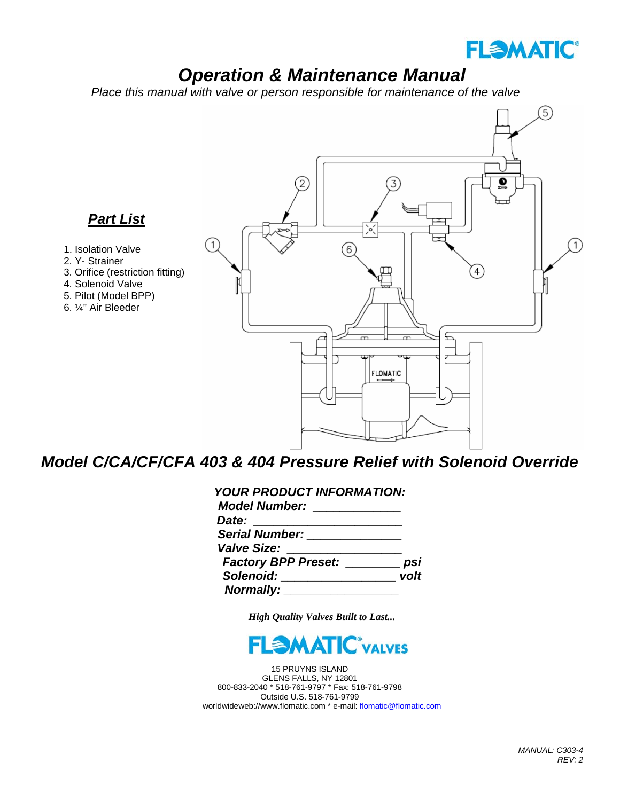

# *Operation & Maintenance Manual*

 *Place this manual with valve or person responsible for maintenance of the valve*



## *Model C/CA/CF/CFA 403 & 404 Pressure Relief with Solenoid Override*

| <b>YOUR PRODUCT INFORMATION:</b>                  |      |
|---------------------------------------------------|------|
| <b>Model Number:</b>                              |      |
| Date:<br><u> 1986 - Jan Alexandria (h. 1986).</u> |      |
| <b>Serial Number:</b>                             |      |
| <b>Valve Size:</b>                                |      |
| <b>Factory BPP Preset:</b>                        |      |
| Solenoid: <b>Solenoid:</b>                        | volt |
| <b>Normally:</b>                                  |      |

*High Quality Valves Built to Last...*



15 PRUYNS ISLAND GLENS FALLS, NY 12801 800-833-2040 \* 518-761-9797 \* Fax: 518-761-9798 Outside U.S. 518-761-9799 worldwideweb://www.flomatic.com \* e-mail[: flomatic@flomatic.com](mailto:flomatic@flomatic.com)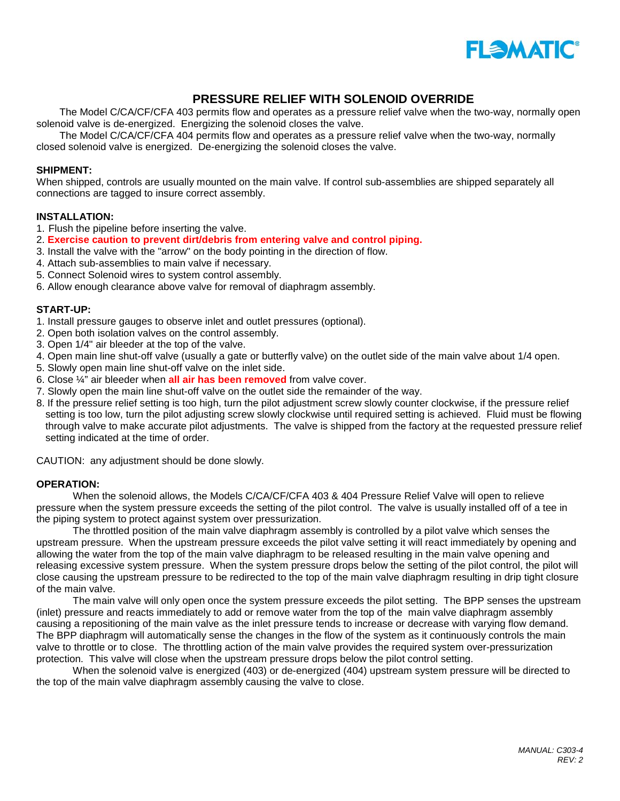

### **PRESSURE RELIEF WITH SOLENOID OVERRIDE**

The Model C/CA/CF/CFA 403 permits flow and operates as a pressure relief valve when the two-way, normally open solenoid valve is de-energized. Energizing the solenoid closes the valve.

The Model C/CA/CF/CFA 404 permits flow and operates as a pressure relief valve when the two-way, normally closed solenoid valve is energized. De-energizing the solenoid closes the valve.

#### **SHIPMENT:**

When shipped, controls are usually mounted on the main valve. If control sub-assemblies are shipped separately all connections are tagged to insure correct assembly.

#### **INSTALLATION:**

- 1. Flush the pipeline before inserting the valve.
- 2. **Exercise caution to prevent dirt/debris from entering valve and control piping.**
- 3. Install the valve with the "arrow" on the body pointing in the direction of flow.
- 4. Attach sub-assemblies to main valve if necessary.
- 5. Connect Solenoid wires to system control assembly.
- 6. Allow enough clearance above valve for removal of diaphragm assembly.

#### **START-UP:**

- 1. Install pressure gauges to observe inlet and outlet pressures (optional).
- 2. Open both isolation valves on the control assembly.
- 3. Open 1/4" air bleeder at the top of the valve.
- 4. Open main line shut-off valve (usually a gate or butterfly valve) on the outlet side of the main valve about 1/4 open.
- 5. Slowly open main line shut-off valve on the inlet side.
- 6. Close ¼" air bleeder when **all air has been removed** from valve cover.
- 7. Slowly open the main line shut-off valve on the outlet side the remainder of the way.
- 8. If the pressure relief setting is too high, turn the pilot adjustment screw slowly counter clockwise, if the pressure relief setting is too low, turn the pilot adjusting screw slowly clockwise until required setting is achieved. Fluid must be flowing through valve to make accurate pilot adjustments. The valve is shipped from the factory at the requested pressure relief setting indicated at the time of order.

CAUTION: any adjustment should be done slowly.

#### **OPERATION:**

When the solenoid allows, the Models C/CA/CF/CFA 403 & 404 Pressure Relief Valve will open to relieve pressure when the system pressure exceeds the setting of the pilot control. The valve is usually installed off of a tee in the piping system to protect against system over pressurization.

The throttled position of the main valve diaphragm assembly is controlled by a pilot valve which senses the upstream pressure. When the upstream pressure exceeds the pilot valve setting it will react immediately by opening and allowing the water from the top of the main valve diaphragm to be released resulting in the main valve opening and releasing excessive system pressure. When the system pressure drops below the setting of the pilot control, the pilot will close causing the upstream pressure to be redirected to the top of the main valve diaphragm resulting in drip tight closure of the main valve.

The main valve will only open once the system pressure exceeds the pilot setting. The BPP senses the upstream (inlet) pressure and reacts immediately to add or remove water from the top of the main valve diaphragm assembly causing a repositioning of the main valve as the inlet pressure tends to increase or decrease with varying flow demand. The BPP diaphragm will automatically sense the changes in the flow of the system as it continuously controls the main valve to throttle or to close. The throttling action of the main valve provides the required system over-pressurization protection. This valve will close when the upstream pressure drops below the pilot control setting.

When the solenoid valve is energized (403) or de-energized (404) upstream system pressure will be directed to the top of the main valve diaphragm assembly causing the valve to close.